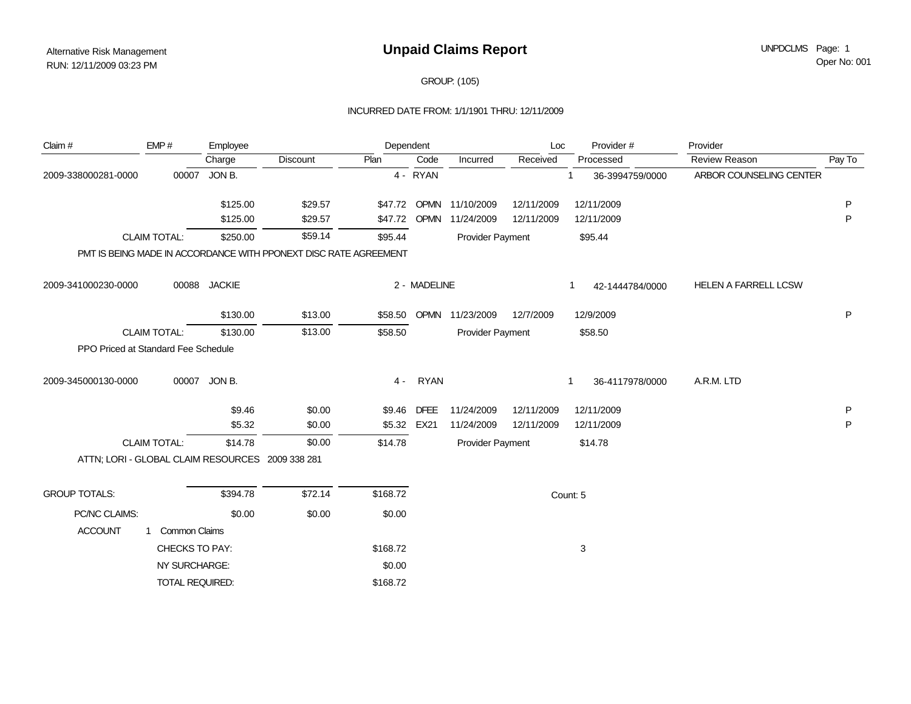## GROUP: (105)

### INCURRED DATE FROM: 1/1/1901 THRU: 12/11/2009

| Claim #                                          | EMP#                 | Employee      |                                                                  | Dependent         |              |                         | Loc        | Provider#            | Provider                    |        |
|--------------------------------------------------|----------------------|---------------|------------------------------------------------------------------|-------------------|--------------|-------------------------|------------|----------------------|-----------------------------|--------|
|                                                  |                      | Charge        | Discount                                                         | $\overline{Plan}$ | Code         | Incurred                | Received   | Processed            | <b>Review Reason</b>        | Pay To |
| 2009-338000281-0000                              | 00007                | JON B.        |                                                                  |                   | 4 - RYAN     |                         |            | 36-3994759/0000      | ARBOR COUNSELING CENTER     |        |
|                                                  |                      | \$125.00      | \$29.57                                                          |                   |              | \$47.72 OPMN 11/10/2009 | 12/11/2009 | 12/11/2009           |                             | P      |
|                                                  |                      | \$125.00      | \$29.57                                                          | \$47.72           | <b>OPMN</b>  | 11/24/2009              | 12/11/2009 | 12/11/2009           |                             | P      |
|                                                  | <b>CLAIM TOTAL:</b>  | \$250.00      | \$59.14                                                          | \$95.44           |              | Provider Payment        |            | \$95.44              |                             |        |
|                                                  |                      |               | PMT IS BEING MADE IN ACCORDANCE WITH PPONEXT DISC RATE AGREEMENT |                   |              |                         |            |                      |                             |        |
| 2009-341000230-0000                              | 00088                | <b>JACKIE</b> |                                                                  |                   | 2 - MADELINE |                         |            | 42-1444784/0000      | <b>HELEN A FARRELL LCSW</b> |        |
|                                                  |                      | \$130.00      | \$13.00                                                          |                   |              | \$58.50 OPMN 11/23/2009 | 12/7/2009  | 12/9/2009            |                             | P      |
|                                                  | <b>CLAIM TOTAL:</b>  | \$130.00      | \$13.00                                                          | \$58.50           |              | Provider Payment        |            | \$58.50              |                             |        |
| PPO Priced at Standard Fee Schedule              |                      |               |                                                                  |                   |              |                         |            |                      |                             |        |
| 2009-345000130-0000                              |                      | 00007 JON B.  |                                                                  | 4 -               | <b>RYAN</b>  |                         |            | 36-4117978/0000<br>1 | A.R.M. LTD                  |        |
|                                                  |                      | \$9.46        | \$0.00                                                           |                   | \$9.46 DFEE  | 11/24/2009              | 12/11/2009 | 12/11/2009           |                             | P      |
|                                                  |                      | \$5.32        | \$0.00                                                           |                   | \$5.32 EX21  | 11/24/2009              | 12/11/2009 | 12/11/2009           |                             | P      |
|                                                  | <b>CLAIM TOTAL:</b>  | \$14.78       | \$0.00                                                           | \$14.78           |              | Provider Payment        |            | \$14.78              |                             |        |
| ATTN; LORI - GLOBAL CLAIM RESOURCES 2009 338 281 |                      |               |                                                                  |                   |              |                         |            |                      |                             |        |
| <b>GROUP TOTALS:</b>                             |                      | \$394.78      | \$72.14                                                          | \$168.72          |              |                         |            | Count: 5             |                             |        |
| PC/NC CLAIMS:                                    |                      | \$0.00        | \$0.00                                                           | \$0.00            |              |                         |            |                      |                             |        |
| <b>ACCOUNT</b>                                   | <b>Common Claims</b> |               |                                                                  |                   |              |                         |            |                      |                             |        |
|                                                  | CHECKS TO PAY:       |               |                                                                  | \$168.72          |              |                         |            | 3                    |                             |        |
|                                                  | NY SURCHARGE:        |               |                                                                  | \$0.00            |              |                         |            |                      |                             |        |
|                                                  | TOTAL REQUIRED:      |               |                                                                  | \$168.72          |              |                         |            |                      |                             |        |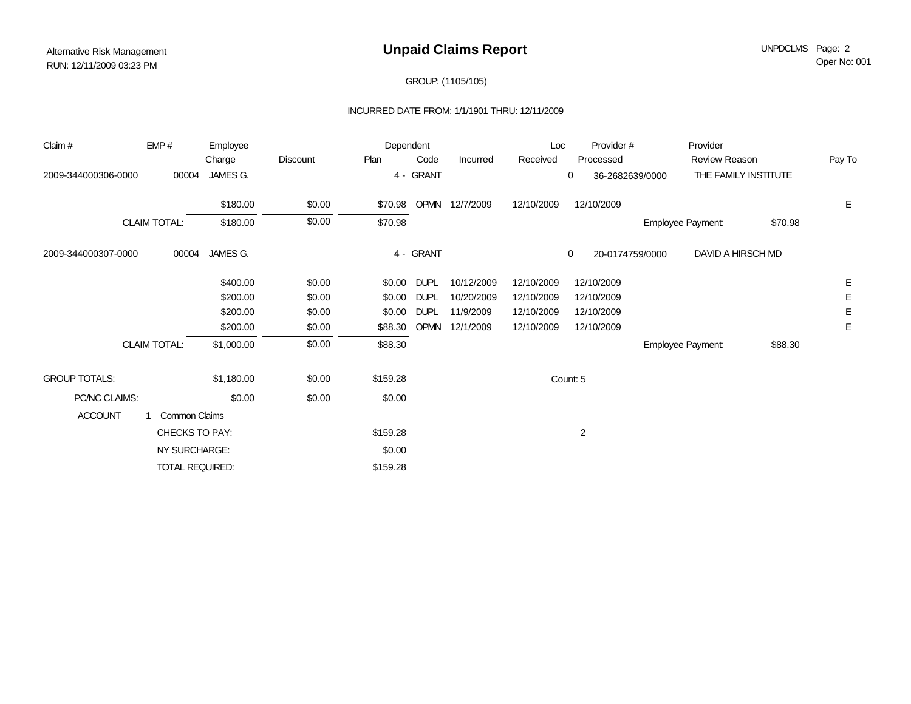## GROUP: (1105/105)

#### INCURRED DATE FROM: 1/1/1901 THRU: 12/11/2009

| Claim #               | EMP#                | Employee   |          | Dependent |              |            | Loc            | Provider#            | Provider             |         |        |
|-----------------------|---------------------|------------|----------|-----------|--------------|------------|----------------|----------------------|----------------------|---------|--------|
|                       |                     | Charge     | Discount | Plan      | Code         | Incurred   | Received       | Processed            | Review Reason        |         | Pay To |
| 2009-344000306-0000   | 00004               | JAMES G.   |          |           | 4 - GRANT    |            |                | 0<br>36-2682639/0000 | THE FAMILY INSTITUTE |         |        |
|                       |                     | \$180.00   | \$0.00   |           | \$70.98 OPMN | 12/7/2009  | 12/10/2009     | 12/10/2009           |                      |         | Е      |
|                       | <b>CLAIM TOTAL:</b> | \$180.00   | \$0.00   | \$70.98   |              |            |                |                      | Employee Payment:    | \$70.98 |        |
| 2009-344000307-0000   | 00004               | JAMES G.   |          |           | 4 - GRANT    |            |                | 0<br>20-0174759/0000 | DAVID A HIRSCH MD    |         |        |
|                       |                     | \$400.00   | \$0.00   |           | \$0.00 DUPL  | 10/12/2009 | 12/10/2009     | 12/10/2009           |                      |         | Е      |
|                       |                     | \$200.00   | \$0.00   | \$0.00    | <b>DUPL</b>  | 10/20/2009 | 12/10/2009     | 12/10/2009           |                      |         | Е      |
|                       |                     | \$200.00   | \$0.00   | \$0.00    | <b>DUPL</b>  | 11/9/2009  | 12/10/2009     | 12/10/2009           |                      |         | Е      |
|                       |                     | \$200.00   | \$0.00   | \$88.30   | <b>OPMN</b>  | 12/1/2009  | 12/10/2009     | 12/10/2009           |                      |         | Е      |
|                       | <b>CLAIM TOTAL:</b> | \$1,000.00 | \$0.00   | \$88.30   |              |            |                |                      | Employee Payment:    | \$88.30 |        |
| <b>GROUP TOTALS:</b>  |                     | \$1,180.00 | \$0.00   | \$159.28  |              |            |                | Count: 5             |                      |         |        |
| PC/NC CLAIMS:         |                     | \$0.00     | \$0.00   | \$0.00    |              |            |                |                      |                      |         |        |
| <b>ACCOUNT</b>        | Common Claims       |            |          |           |              |            |                |                      |                      |         |        |
| <b>CHECKS TO PAY:</b> |                     |            | \$159.28 |           |              |            | $\overline{2}$ |                      |                      |         |        |
| NY SURCHARGE:         |                     |            |          | \$0.00    |              |            |                |                      |                      |         |        |
|                       | TOTAL REQUIRED:     |            |          | \$159.28  |              |            |                |                      |                      |         |        |